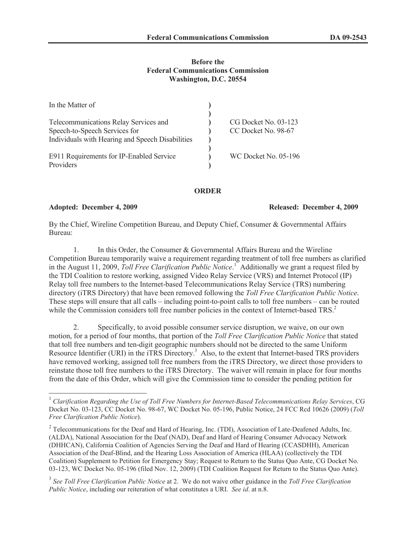# **Before the Federal Communications Commission Washington, D.C. 20554**

| In the Matter of                                 |                             |
|--------------------------------------------------|-----------------------------|
|                                                  |                             |
| Telecommunications Relay Services and            | CG Docket No. 03-123        |
| Speech-to-Speech Services for                    | CC Docket No. 98-67         |
| Individuals with Hearing and Speech Disabilities |                             |
|                                                  |                             |
| E911 Requirements for IP-Enabled Service         | <b>WC Docket No. 05-196</b> |
| Providers                                        |                             |

# **ORDER**

### **Adopted: December 4, 2009 Released: December 4, 2009**

By the Chief, Wireline Competition Bureau, and Deputy Chief, Consumer & Governmental Affairs Bureau:

1. In this Order, the Consumer & Governmental Affairs Bureau and the Wireline Competition Bureau temporarily waive a requirement regarding treatment of toll free numbers as clarified in the August 11, 2009, *Toll Free Clarification Public Notice*. <sup>1</sup> Additionally we grant a request filed by the TDI Coalition to restore working, assigned Video Relay Service (VRS) and Internet Protocol (IP) Relay toll free numbers to the Internet-based Telecommunications Relay Service (TRS) numbering directory (iTRS Directory) that have been removed following the *Toll Free Clarification Public Notice*. These steps will ensure that all calls – including point-to-point calls to toll free numbers – can be routed while the Commission considers toll free number policies in the context of Internet-based TRS.<sup>2</sup>

2. Specifically, to avoid possible consumer service disruption, we waive, on our own motion, for a period of four months, that portion of the *Toll Free Clarification Public Notice* that stated that toll free numbers and ten-digit geographic numbers should not be directed to the same Uniform Resource Identifier (URI) in the iTRS Directory.<sup>3</sup> Also, to the extent that Internet-based TRS providers have removed working, assigned toll free numbers from the iTRS Directory, we direct those providers to reinstate those toll free numbers to the iTRS Directory. The waiver will remain in place for four months from the date of this Order, which will give the Commission time to consider the pending petition for

<sup>1</sup> *Clarification Regarding the Use of Toll Free Numbers for Internet-Based Telecommunications Relay Services*, CG Docket No. 03-123, CC Docket No. 98-67, WC Docket No. 05-196, Public Notice, 24 FCC Rcd 10626 (2009) (*Toll Free Clarification Public Notice*).

<sup>&</sup>lt;sup>2</sup> Telecommunications for the Deaf and Hard of Hearing, Inc. (TDI), Association of Late-Deafened Adults, Inc. (ALDA), National Association for the Deaf (NAD), Deaf and Hard of Hearing Consumer Advocacy Network (DHHCAN), California Coalition of Agencies Serving the Deaf and Hard of Hearing (CCASDHH), American Association of the Deaf-Blind, and the Hearing Loss Association of America (HLAA) (collectively the TDI Coalition) Supplement to Petition for Emergency Stay; Request to Return to the Status Quo Ante, CG Docket No. 03-123, WC Docket No. 05-196 (filed Nov. 12, 2009) (TDI Coalition Request for Return to the Status Quo Ante).

<sup>3</sup> *See Toll Free Clarification Public Notice* at 2. We do not waive other guidance in the *Toll Free Clarification Public Notice*, including our reiteration of what constitutes a URI. *See id*. at n.8.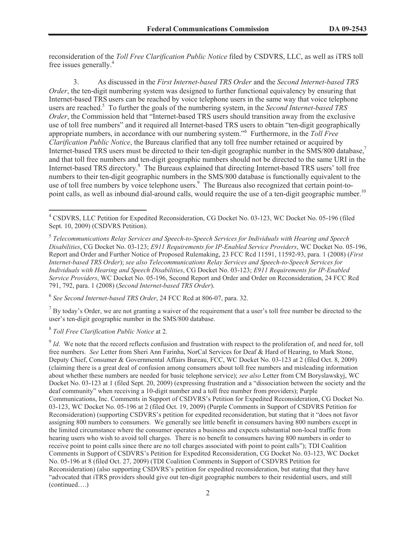reconsideration of the *Toll Free Clarification Public Notice* filed by CSDVRS, LLC, as well as iTRS toll free issues generally.<sup>4</sup>

3. As discussed in the *First Internet-based TRS Order* and the *Second Internet-based TRS Order*, the ten-digit numbering system was designed to further functional equivalency by ensuring that Internet-based TRS users can be reached by voice telephone users in the same way that voice telephone users are reached.<sup>5</sup> To further the goals of the numbering system, in the *Second Internet-based TRS Order*, the Commission held that "Internet-based TRS users should transition away from the exclusive use of toll free numbers" and it required all Internet-based TRS users to obtain "ten-digit geographically appropriate numbers, in accordance with our numbering system."<sup>6</sup> Furthermore, in the *Toll Free Clarification Public Notice*, the Bureaus clarified that any toll free number retained or acquired by Internet-based TRS users must be directed to their ten-digit geographic number in the SMS/800 database,<sup>7</sup> and that toll free numbers and ten-digit geographic numbers should not be directed to the same URI in the Internet-based TRS directory.<sup>8</sup> The Bureaus explained that directing Internet-based TRS users' toll free numbers to their ten-digit geographic numbers in the SMS/800 database is functionally equivalent to the use of toll free numbers by voice telephone users.<sup>9</sup> The Bureaus also recognized that certain point-topoint calls, as well as inbound dial-around calls, would require the use of a ten-digit geographic number.<sup>10</sup>

6 *See Second Internet-based TRS Order*, 24 FCC Rcd at 806-07, para. 32.

 $<sup>7</sup>$  By today's Order, we are not granting a waiver of the requirement that a user's toll free number be directed to the</sup> user's ten-digit geographic number in the SMS/800 database.

# 8 *Toll Free Clarification Public Notice* at 2.

 $\partial^9$  *Id*. We note that the record reflects confusion and frustration with respect to the proliferation of, and need for, toll free numbers. *See* Letter from Sheri Ann Farinha, NorCal Services for Deaf & Hard of Hearing, to Mark Stone, Deputy Chief, Consumer & Governmental Affairs Bureau, FCC, WC Docket No. 03-123 at 2 (filed Oct. 8, 2009) (claiming there is a great deal of confusion among consumers about toll free numbers and misleading information about whether these numbers are needed for basic telephone service); *see also* Letter from CM Boryslawskyj, WC Docket No. 03-123 at 1 (filed Sept. 20, 2009) (expressing frustration and a "dissociation between the society and the deaf community" when receiving a 10-digit number and a toll free number from providers); Purple Communications, Inc. Comments in Support of CSDVRS's Petition for Expedited Reconsideration, CG Docket No. 03-123, WC Docket No. 05-196 at 2 (filed Oct. 19, 2009) (Purple Comments in Support of CSDVRS Petition for Reconsideration) (supporting CSDVRS's petition for expedited reconsideration, but stating that it "does not favor assigning 800 numbers to consumers. We generally see little benefit in consumers having 800 numbers except in the limited circumstance where the consumer operates a business and expects substantial non-local traffic from hearing users who wish to avoid toll charges. There is no benefit to consumers having 800 numbers in order to receive point to point calls since there are no toll charges associated with point to point calls"); TDI Coalition Comments in Support of CSDVRS's Petition for Expedited Reconsideration, CG Docket No. 03-123, WC Docket No. 05-196 at 8 (filed Oct. 27, 2009) (TDI Coalition Comments in Support of CSDVRS Petition for Reconsideration) (also supporting CSDVRS's petition for expedited reconsideration, but stating that they have "advocated that iTRS providers should give out ten-digit geographic numbers to their residential users, and still (continued….)

<sup>&</sup>lt;sup>4</sup> CSDVRS, LLC Petition for Expedited Reconsideration, CG Docket No. 03-123, WC Docket No. 05-196 (filed Sept. 10, 2009) (CSDVRS Petition).

<sup>5</sup> *Telecommunications Relay Services and Speech-to-Speech Services for Individuals with Hearing and Speech Disabilities*, CG Docket No. 03-123; *E911 Requirements for IP-Enabled Service Providers*, WC Docket No. 05-196, Report and Order and Further Notice of Proposed Rulemaking, 23 FCC Rcd 11591, 11592-93, para. 1 (2008) (*First Internet-based TRS Order*); *see also Telecommunications Relay Services and Speech-to-Speech Services for Individuals with Hearing and Speech Disabilities*, CG Docket No. 03-123; *E911 Requirements for IP-Enabled Service Providers*, WC Docket No. 05-196, Second Report and Order and Order on Reconsideration, 24 FCC Rcd 791, 792, para. 1 (2008) (*Second Internet-based TRS Order*).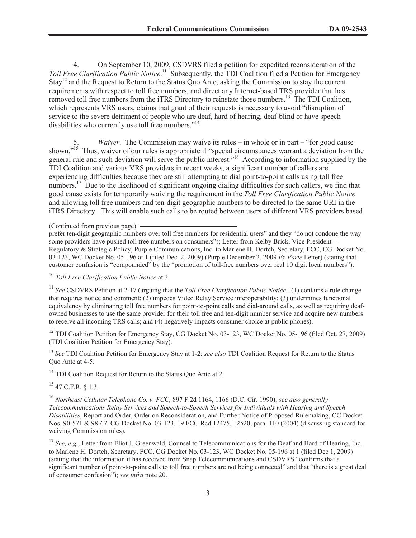4. On September 10, 2009, CSDVRS filed a petition for expedited reconsideration of the Toll Free Clarification Public Notice.<sup>11</sup> Subsequently, the TDI Coalition filed a Petition for Emergency Stay<sup>12</sup> and the Request to Return to the Status Quo Ante, asking the Commission to stay the current requirements with respect to toll free numbers, and direct any Internet-based TRS provider that has removed toll free numbers from the iTRS Directory to reinstate those numbers.<sup>13</sup> The TDI Coalition, which represents VRS users, claims that grant of their requests is necessary to avoid "disruption of service to the severe detriment of people who are deaf, hard of hearing, deaf-blind or have speech disabilities who currently use toll free numbers."<sup>14</sup>

5. *Waiver*. The Commission may waive its rules – in whole or in part – "for good cause shown."<sup>15</sup> Thus, waiver of our rules is appropriate if "special circumstances warrant a deviation from the general rule and such deviation will serve the public interest."<sup>16</sup> According to information supplied by the TDI Coalition and various VRS providers in recent weeks, a significant number of callers are experiencing difficulties because they are still attempting to dial point-to-point calls using toll free numbers.<sup>17</sup> Due to the likelihood of significant ongoing dialing difficulties for such callers, we find that good cause exists for temporarily waiving the requirement in the *Toll Free Clarification Public Notice* and allowing toll free numbers and ten-digit geographic numbers to be directed to the same URI in the iTRS Directory. This will enable such calls to be routed between users of different VRS providers based

prefer ten-digit geographic numbers over toll free numbers for residential users" and they "do not condone the way some providers have pushed toll free numbers on consumers"); Letter from Kelby Brick, Vice President – Regulatory & Strategic Policy, Purple Communications, Inc. to Marlene H. Dortch, Secretary, FCC, CG Docket No. 03-123, WC Docket No. 05-196 at 1 (filed Dec. 2, 2009) (Purple December 2, 2009 *Ex Parte* Letter) (stating that customer confusion is "compounded" by the "promotion of toll-free numbers over real 10 digit local numbers").

<sup>10</sup> *Toll Free Clarification Public Notice* at 3.

<sup>11</sup> *See* CSDVRS Petition at 2-17 (arguing that the *Toll Free Clarification Public Notice*: (1) contains a rule change that requires notice and comment; (2) impedes Video Relay Service interoperability; (3) undermines functional equivalency by eliminating toll free numbers for point-to-point calls and dial-around calls, as well as requiring deafowned businesses to use the same provider for their toll free and ten-digit number service and acquire new numbers to receive all incoming TRS calls; and (4) negatively impacts consumer choice at public phones).

<sup>12</sup> TDI Coalition Petition for Emergency Stay, CG Docket No. 03-123, WC Docket No. 05-196 (filed Oct. 27, 2009) (TDI Coalition Petition for Emergency Stay).

<sup>13</sup> *See* TDI Coalition Petition for Emergency Stay at 1-2; *see also* TDI Coalition Request for Return to the Status Quo Ante at 4-5.

<sup>14</sup> TDI Coalition Request for Return to the Status Quo Ante at 2.

 $^{15}$  47 C.F.R. § 1.3.

<sup>16</sup> *Northeast Cellular Telephone Co. v. FCC*, 897 F.2d 1164, 1166 (D.C. Cir. 1990); *see also generally Telecommunications Relay Services and Speech-to-Speech Services for Individuals with Hearing and Speech Disabilities*, Report and Order, Order on Reconsideration, and Further Notice of Proposed Rulemaking, CC Docket Nos. 90-571 & 98-67, CG Docket No. 03-123, 19 FCC Rcd 12475, 12520, para. 110 (2004) (discussing standard for waiving Commission rules).

<sup>17</sup> See, e.g., Letter from Eliot J. Greenwald, Counsel to Telecommunications for the Deaf and Hard of Hearing, Inc. to Marlene H. Dortch, Secretary, FCC, CG Docket No. 03-123, WC Docket No. 05-196 at 1 (filed Dec 1, 2009) (stating that the information it has received from Snap Telecommunications and CSDVRS "confirms that a significant number of point-to-point calls to toll free numbers are not being connected" and that "there is a great deal of consumer confusion"); *see infra* note 20.

<sup>(</sup>Continued from previous page)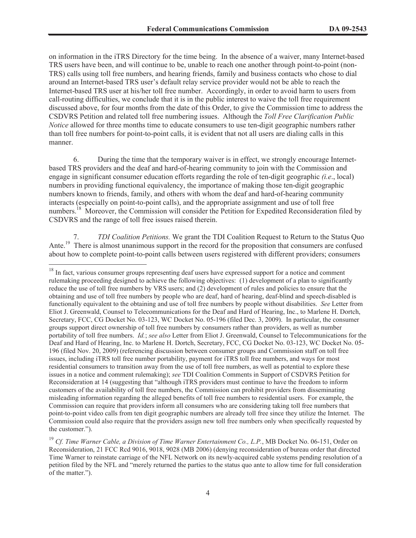on information in the iTRS Directory for the time being. In the absence of a waiver, many Internet-based TRS users have been, and will continue to be, unable to reach one another through point-to-point (non-TRS) calls using toll free numbers, and hearing friends, family and business contacts who chose to dial around an Internet-based TRS user's default relay service provider would not be able to reach the Internet-based TRS user at his/her toll free number. Accordingly, in order to avoid harm to users from call-routing difficulties, we conclude that it is in the public interest to waive the toll free requirement discussed above, for four months from the date of this Order, to give the Commission time to address the CSDVRS Petition and related toll free numbering issues. Although the *Toll Free Clarification Public Notice* allowed for three months time to educate consumers to use ten-digit geographic numbers rather than toll free numbers for point-to-point calls, it is evident that not all users are dialing calls in this manner.

6. During the time that the temporary waiver is in effect, we strongly encourage Internetbased TRS providers and the deaf and hard-of-hearing community to join with the Commission and engage in significant consumer education efforts regarding the role of ten-digit geographic *(i.e*., local) numbers in providing functional equivalency, the importance of making those ten-digit geographic numbers known to friends, family, and others with whom the deaf and hard-of-hearing community interacts (especially on point-to-point calls), and the appropriate assignment and use of toll free numbers.<sup>18</sup> Moreover, the Commission will consider the Petition for Expedited Reconsideration filed by CSDVRS and the range of toll free issues raised therein.

7. *TDI Coalition Petitions.* We grant the TDI Coalition Request to Return to the Status Quo Ante.<sup>19</sup> There is almost unanimous support in the record for the proposition that consumers are confused about how to complete point-to-point calls between users registered with different providers; consumers

<sup>&</sup>lt;sup>18</sup> In fact, various consumer groups representing deaf users have expressed support for a notice and comment rulemaking proceeding designed to achieve the following objectives: (1) development of a plan to significantly reduce the use of toll free numbers by VRS users; and (2) development of rules and policies to ensure that the obtaining and use of toll free numbers by people who are deaf, hard of hearing, deaf-blind and speech-disabled is functionally equivalent to the obtaining and use of toll free numbers by people without disabilities. *See* Letter from Eliot J. Greenwald, Counsel to Telecommunications for the Deaf and Hard of Hearing, Inc., to Marlene H. Dortch, Secretary, FCC, CG Docket No. 03-123, WC Docket No. 05-196 (filed Dec. 3, 2009). In particular, the consumer groups support direct ownership of toll free numbers by consumers rather than providers, as well as number portability of toll free numbers. *Id.*; *see also* Letter from Eliot J. Greenwald, Counsel to Telecommunications for the Deaf and Hard of Hearing, Inc. to Marlene H. Dortch, Secretary, FCC, CG Docket No. 03-123, WC Docket No. 05- 196 (filed Nov. 20, 2009) (referencing discussion between consumer groups and Commission staff on toll free issues, including iTRS toll free number portability, payment for iTRS toll free numbers, and ways for most residential consumers to transition away from the use of toll free numbers, as well as potential to explore these issues in a notice and comment rulemaking); *see* TDI Coalition Comments in Support of CSDVRS Petition for Reconsideration at 14 (suggesting that "although iTRS providers must continue to have the freedom to inform customers of the availability of toll free numbers, the Commission can prohibit providers from disseminating misleading information regarding the alleged benefits of toll free numbers to residential users. For example, the Commission can require that providers inform all consumers who are considering taking toll free numbers that point-to-point video calls from ten digit geographic numbers are already toll free since they utilize the Internet. The Commission could also require that the providers assign new toll free numbers only when specifically requested by the customer.").

<sup>19</sup> *Cf. Time Warner Cable, a Division of Time Warner Entertainment Co., L.P.*, MB Docket No. 06-151, Order on Reconsideration, 21 FCC Rcd 9016, 9018, 9028 (MB 2006) (denying reconsideration of bureau order that directed Time Warner to reinstate carriage of the NFL Network on its newly-acquired cable systems pending resolution of a petition filed by the NFL and "merely returned the parties to the status quo ante to allow time for full consideration of the matter.").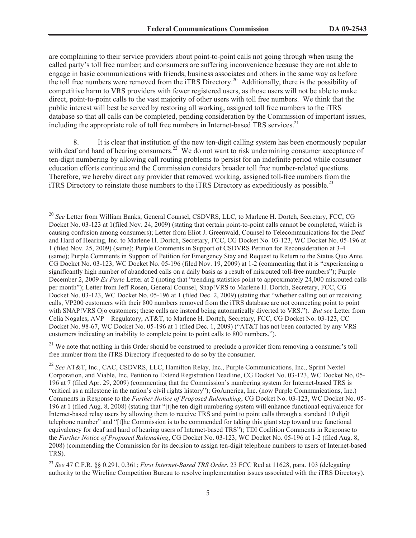are complaining to their service providers about point-to-point calls not going through when using the called party's toll free number; and consumers are suffering inconvenience because they are not able to engage in basic communications with friends, business associates and others in the same way as before the toll free numbers were removed from the iTRS Directory.<sup>20</sup> Additionally, there is the possibility of competitive harm to VRS providers with fewer registered users, as those users will not be able to make direct, point-to-point calls to the vast majority of other users with toll free numbers. We think that the public interest will best be served by restoring all working, assigned toll free numbers to the iTRS database so that all calls can be completed, pending consideration by the Commission of important issues, including the appropriate role of toll free numbers in Internet-based TRS services.<sup>21</sup>

8. It is clear that institution of the new ten-digit calling system has been enormously popular with deaf and hard of hearing consumers.<sup>22</sup> We do not want to risk undermining consumer acceptance of ten-digit numbering by allowing call routing problems to persist for an indefinite period while consumer education efforts continue and the Commission considers broader toll free number-related questions. Therefore, we hereby direct any provider that removed working, assigned toll-free numbers from the iTRS Directory to reinstate those numbers to the iTRS Directory as expeditiously as possible.<sup>23</sup>

 $21$  We note that nothing in this Order should be construed to preclude a provider from removing a consumer's toll free number from the iTRS Directory if requested to do so by the consumer.

<sup>20</sup> *See* Letter from William Banks, General Counsel, CSDVRS, LLC, to Marlene H. Dortch, Secretary, FCC, CG Docket No. 03-123 at 1(filed Nov. 24, 2009) (stating that certain point-to-point calls cannot be completed, which is causing confusion among consumers); Letter from Eliot J. Greenwald, Counsel to Telecommunications for the Deaf and Hard of Hearing, Inc. to Marlene H. Dortch, Secretary, FCC, CG Docket No. 03-123, WC Docket No. 05-196 at 1 (filed Nov. 25, 2009) (same); Purple Comments in Support of CSDVRS Petition for Reconsideration at 3-4 (same); Purple Comments in Support of Petition for Emergency Stay and Request to Return to the Status Quo Ante, CG Docket No. 03-123, WC Docket No. 05-196 (filed Nov. 19, 2009) at 1-2 (commenting that it is "experiencing a significantly high number of abandoned calls on a daily basis as a result of misrouted toll-free numbers"); Purple December 2, 2009 *Ex Parte* Letter at 2 (noting that "trending statistics point to approximately 24,000 misrouted calls per month"); Letter from Jeff Rosen, General Counsel, Snap!VRS to Marlene H. Dortch, Secretary, FCC, CG Docket No. 03-123, WC Docket No. 05-196 at 1 (filed Dec. 2, 2009) (stating that "whether calling out or receiving calls, VP200 customers with their 800 numbers removed from the iTRS database are not connecting point to point with SNAP!VRS Ojo customers; these calls are instead being automatically diverted to VRS."). *But see* Letter from Celia Nogales, AVP – Regulatory, AT&T, to Marlene H. Dortch, Secretary, FCC, CG Docket No. 03-123, CC Docket No. 98-67, WC Docket No. 05-196 at 1 (filed Dec. 1, 2009) ("AT&T has not been contacted by any VRS customers indicating an inability to complete point to point calls to 800 numbers.").

<sup>22</sup> *See* AT&T, Inc., CAC, CSDVRS, LLC, Hamilton Relay, Inc., Purple Communications, Inc., Sprint Nextel Corporation, and Viable, Inc. Petition to Extend Registration Deadline, CG Docket No. 03-123, WC Docket No, 05- 196 at 7 (filed Apr. 29, 2009) (commenting that the Commission's numbering system for Internet-based TRS is "critical as a milestone in the nation's civil rights history"); GoAmerica, Inc. (now Purple Communications, Inc.) Comments in Response to the *Further Notice of Proposed Rulemaking*, CG Docket No. 03-123, WC Docket No. 05- 196 at 1 (filed Aug. 8, 2008) (stating that "[t]he ten digit numbering system will enhance functional equivalence for Internet-based relay users by allowing them to receive TRS and point to point calls through a standard 10 digit telephone number" and "[t]he Commission is to be commended for taking this giant step toward true functional equivalency for deaf and hard of hearing users of Internet-based TRS"); TDI Coalition Comments in Response to the *Further Notice of Proposed Rulemaking*, CG Docket No. 03-123, WC Docket No. 05-196 at 1-2 (filed Aug. 8, 2008) (commending the Commission for its decision to assign ten-digit telephone numbers to users of Internet-based TRS).

<sup>23</sup> *See* 47 C.F.R. §§ 0.291, 0.361; *First Internet-Based TRS Order*, 23 FCC Rcd at 11628, para. 103 (delegating authority to the Wireline Competition Bureau to resolve implementation issues associated with the iTRS Directory).